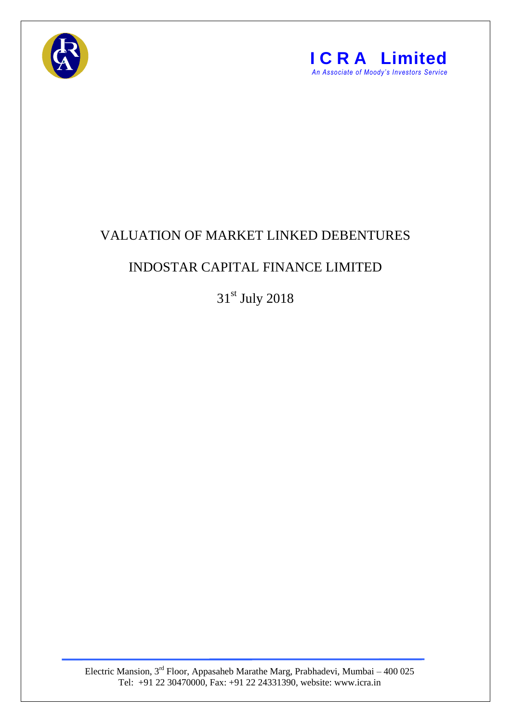



## VALUATION OF MARKET LINKED DEBENTURES

## INDOSTAR CAPITAL FINANCE LIMITED

31st July 2018